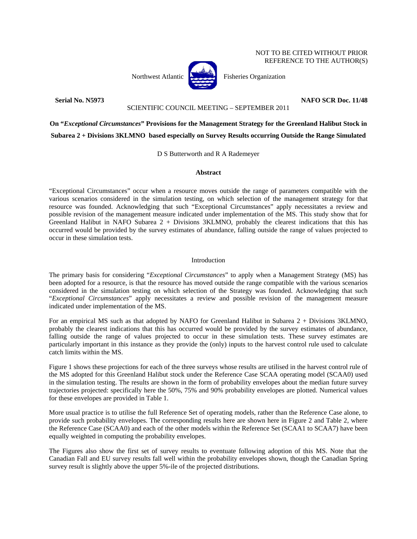## NOT TO BE CITED WITHOUT PRIOR REFERENCE TO THE AUTHOR(S)

Northwest Atlantic  $\begin{bmatrix} 1 & 1 \\ 1 & 1 \end{bmatrix}$  Fisheries Organization



#### SCIENTIFIC COUNCIL MEETING – SEPTEMBER 2011

**Serial No. N5973 NAFO SCR Doc. 11/48** 

**On "***Exceptional Circumstances***" Provisions for the Management Strategy for the Greenland Halibut Stock in Subarea 2 + Divisions 3KLMNO based especially on Survey Results occurring Outside the Range Simulated** 

D S Butterworth and R A Rademeyer

# **Abstract**

"Exceptional Circumstances" occur when a resource moves outside the range of parameters compatible with the various scenarios considered in the simulation testing, on which selection of the management strategy for that resource was founded. Acknowledging that such "Exceptional Circumstances" apply necessitates a review and possible revision of the management measure indicated under implementation of the MS. This study show that for Greenland Halibut in NAFO Subarea 2 + Divisions 3KLMNO, probably the clearest indications that this has occurred would be provided by the survey estimates of abundance, falling outside the range of values projected to occur in these simulation tests.

## Introduction

The primary basis for considering "*Exceptional Circumstances*" to apply when a Management Strategy (MS) has been adopted for a resource, is that the resource has moved outside the range compatible with the various scenarios considered in the simulation testing on which selection of the Strategy was founded. Acknowledging that such "*Exceptional Circumstances*" apply necessitates a review and possible revision of the management measure indicated under implementation of the MS.

For an empirical MS such as that adopted by NAFO for Greenland Halibut in Subarea 2 + Divisions 3KLMNO, probably the clearest indications that this has occurred would be provided by the survey estimates of abundance, falling outside the range of values projected to occur in these simulation tests. These survey estimates are particularly important in this instance as they provide the (only) inputs to the harvest control rule used to calculate catch limits within the MS.

Figure 1 shows these projections for each of the three surveys whose results are utilised in the harvest control rule of the MS adopted for this Greenland Halibut stock under the Reference Case SCAA operating model (SCAA0) used in the simulation testing. The results are shown in the form of probability envelopes about the median future survey trajectories projected: specifically here the 50%, 75% and 90% probability envelopes are plotted. Numerical values for these envelopes are provided in Table 1.

More usual practice is to utilise the full Reference Set of operating models, rather than the Reference Case alone, to provide such probability envelopes. The corresponding results here are shown here in Figure 2 and Table 2, where the Reference Case (SCAA0) and each of the other models within the Reference Set (SCAA1 to SCAA7) have been equally weighted in computing the probability envelopes.

The Figures also show the first set of survey results to eventuate following adoption of this MS. Note that the Canadian Fall and EU survey results fall well within the probability envelopes shown, though the Canadian Spring survey result is slightly above the upper 5%-ile of the projected distributions.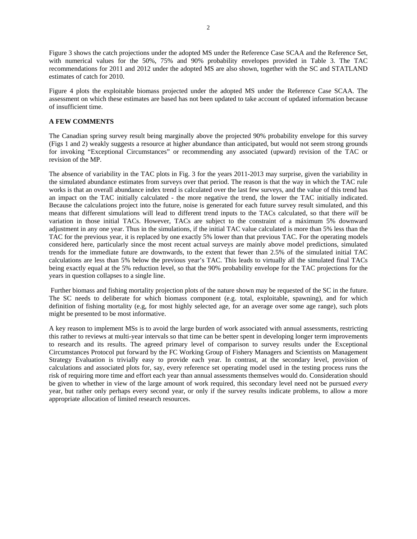Figure 3 shows the catch projections under the adopted MS under the Reference Case SCAA and the Reference Set, with numerical values for the 50%, 75% and 90% probability envelopes provided in Table 3. The TAC recommendations for 2011 and 2012 under the adopted MS are also shown, together with the SC and STATLAND estimates of catch for 2010.

Figure 4 plots the exploitable biomass projected under the adopted MS under the Reference Case SCAA. The assessment on which these estimates are based has not been updated to take account of updated information because of insufficient time.

### **A FEW COMMENTS**

The Canadian spring survey result being marginally above the projected 90% probability envelope for this survey (Figs 1 and 2) weakly suggests a resource at higher abundance than anticipated, but would not seem strong grounds for invoking "Exceptional Circumstances" or recommending any associated (upward) revision of the TAC or revision of the MP.

The absence of variability in the TAC plots in Fig. 3 for the years 2011-2013 may surprise, given the variability in the simulated abundance estimates from surveys over that period. The reason is that the way in which the TAC rule works is that an overall abundance index trend is calculated over the last few surveys, and the value of this trend has an impact on the TAC initially calculated - the more negative the trend, the lower the TAC initially indicated. Because the calculations project into the future, noise is generated for each future survey result simulated, and this means that different simulations will lead to different trend inputs to the TACs calculated, so that there *will* be variation in those initial TACs. However, TACs are subject to the constraint of a máximum 5% downward adjustment in any one year. Thus in the simulations, if the initial TAC value calculated is more than 5% less than the TAC for the previous year, it is replaced by one exactly 5% lower than that previous TAC. For the operating models considered here, particularly since the most recent actual surveys are mainly above model predictions, simulated trends for the immediate future are downwards, to the extent that fewer than 2.5% of the simulated initial TAC calculations are less than 5% below the previous year's TAC. This leads to virtually all the simulated final TACs being exactly equal at the 5% reduction level, so that the 90% probability envelope for the TAC projections for the years in question collapses to a single line.

 Further biomass and fishing mortality projection plots of the nature shown may be requested of the SC in the future. The SC needs to deliberate for which biomass component (e.g. total, exploitable, spawning), and for which definition of fishing mortality (e.g, for most highly selected age, for an average over some age range), such plots might be presented to be most informative.

A key reason to implement MSs is to avoid the large burden of work associated with annual assessments, restricting this rather to reviews at multi-year intervals so that time can be better spent in developing longer term improvements to research and its results. The agreed primary level of comparison to survey results under the Exceptional Circumstances Protocol put forward by the FC Working Group of Fishery Managers and Scientists on Management Strategy Evaluation is trivially easy to provide each year. In contrast, at the secondary level, provision of calculations and associated plots for, say, every reference set operating model used in the testing process runs the risk of requiring more time and effort each year than annual assessments themselves would do. Consideration should be given to whether in view of the large amount of work required, this secondary level need not be pursued *every* year, but rather only perhaps every second year, or only if the survey results indicate problems, to allow a more appropriate allocation of limited research resources.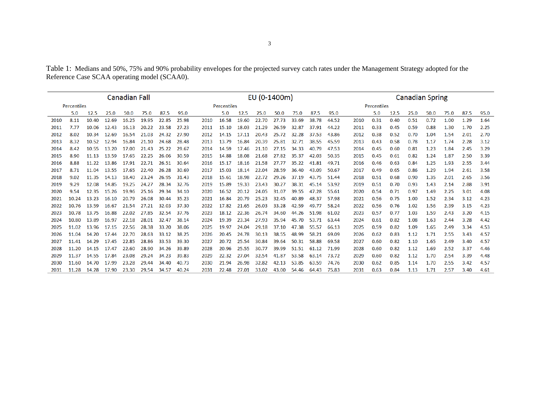Table 1: Medians and 50%, 75% and 90% probability envelopes for the projected survey catch rates under the Management Strategy adopted for the Reference Case SCAA operating model (SCAA0).

| <b>Canadian Fall</b> |       |       |       |       |       |       |       |      | EU (0-1400m) |       |       |       |       |       |       |      |             | <b>Canadian Spring</b> |      |      |      |      |      |  |  |  |
|----------------------|-------|-------|-------|-------|-------|-------|-------|------|--------------|-------|-------|-------|-------|-------|-------|------|-------------|------------------------|------|------|------|------|------|--|--|--|
| Percentiles          |       |       |       |       |       |       |       |      | Percentiles  |       |       |       |       |       |       |      | Percentiles |                        |      |      |      |      |      |  |  |  |
|                      | 5.0   | 12.5  | 25.0  | 50.0  | 75.0  | 87.5  | 95.0  |      | 5.0          | 12.5  | 25.0  | 50.0  | 75.0  | 87.5  | 95.0  |      | 5.0         | 12.5                   | 25.0 | 50.0 | 75.0 | 87.5 | 95.0 |  |  |  |
| 2010                 | 8.11  | 10.40 | 12.69 | 16.25 | 19.95 | 22.85 | 25.98 | 2010 | 16.58        | 19.60 | 22.70 | 27.73 | 33.69 | 38.78 | 44.52 | 2010 | 0.31        | 0.40                   | 0.51 | 0.72 | 1.00 | 1.29 | 1.64 |  |  |  |
| 2011                 | 7.77  | 10.06 | 12.43 | 16.13 | 20.22 | 23.58 | 27.23 | 2011 | 15.10        | 18.03 | 21.29 | 26.59 | 32.87 | 37.91 | 44.22 | 2011 | 0.33        | 0.45                   | 0.59 | 0.88 | 1.30 | 1.70 | 2.25 |  |  |  |
| 2012                 | 8.02  | 10.34 | 12.69 | 16.54 | 21.03 | 24.32 | 27.90 | 2012 | 14.15        | 17.11 | 20.43 | 25.72 | 32.28 | 37.53 | 43.86 | 2012 | 0.38        | 0.52                   | 0.70 | 1.04 | 1.54 | 2.01 | 2.70 |  |  |  |
| 2013                 | 8.32  | 10.52 | 12.94 | 16.84 | 21.10 | 24.68 | 28.48 | 2013 | 13.79        | 16.84 | 20.39 | 25.81 | 32.71 | 38.55 | 45.59 | 2013 | 0.43        | 0.58                   | 0.78 | 1.17 | 1.74 | 2.28 | 3.12 |  |  |  |
| 2014                 | 8.42  | 10.55 | 13.20 | 17.00 | 21.43 | 25.22 | 29.67 | 2014 | 14.59        | 17.46 | 21.10 | 27.15 | 34.33 | 40.79 | 47.53 | 2014 | 0.45        | 0.60                   | 0.81 | 1.23 | 1.84 | 2.45 | 3.29 |  |  |  |
| 2015                 | 8.90  | 11.13 | 13.59 | 17.65 | 22.25 | 26.06 | 30.59 | 2015 | 14.88        | 18.08 | 21.68 | 27.82 | 35.37 | 42.03 | 50.35 | 2015 | 0.45        | 0.61                   | 0.82 | 1.24 | 1.87 | 2.50 | 3.39 |  |  |  |
| 2016                 | 8.88  | 11.22 | 13.86 | 17.91 | 22.71 | 26.51 | 30.64 | 2016 | 15.17        | 18.16 | 21.58 | 27.77 | 35.22 | 41.81 | 49.71 | 2016 | 0.46        | 0.63                   | 0.84 | 1.25 | 1.93 | 2.55 | 3.44 |  |  |  |
| 2017                 | 8.71  | 11.04 | 13.55 | 17.65 | 22.40 | 26.28 | 30.69 | 2017 | 15.03        | 18.14 | 22.04 | 28.59 | 36.40 | 43.09 | 50.67 | 2017 | 0.49        | 0.65                   | 0.86 | 1.29 | 1.94 | 2.61 | 3.58 |  |  |  |
| 2018                 | 9.02  | 11.35 | 14.13 | 18.40 | 23.24 | 26.95 | 31.43 | 2018 | 15.61        | 18.98 | 22.72 | 29.26 | 37.19 | 43.75 | 51.44 | 2018 | 0.51        | 0.68                   | 0.90 | 1.35 | 2.01 | 2.65 | 3.56 |  |  |  |
| 2019                 | 9.29  | 12.08 | 14.85 | 19.25 | 24.27 | 28.34 | 32.76 | 2019 | 15.89        | 19.33 | 23.43 | 30.27 | 38.31 | 45.14 | 53.92 | 2019 | 0.51        | 0.70                   | 0.93 | 1.43 | 2.14 | 2.88 | 3.91 |  |  |  |
| 2020                 | 9.54  | 12.35 | 15.26 | 19.96 | 25.16 | 29.34 | 34.10 | 2020 | 16.52        | 20.12 | 24.05 | 31.07 | 39.55 | 47.28 | 55.61 | 2020 | 0.54        | 0.71                   | 0.97 | 1.49 | 2.25 | 3.01 | 4.08 |  |  |  |
| 2021                 | 10.24 | 13.23 | 16.10 | 20.79 | 26.08 | 30.44 | 35.23 | 2021 | 16.84        | 20.79 | 25.23 | 32.45 | 40.89 | 48.37 | 57.98 | 2021 | 0.56        | 0.75                   | 1.00 | 1.52 | 2.34 | 3.12 | 4.23 |  |  |  |
| 2022                 | 10.76 | 13.59 | 16.67 | 21.54 | 27.21 | 32.03 | 37.30 | 2022 | 17.82        | 21.65 | 26.03 | 33.28 | 42.59 | 49.77 | 58.24 | 2022 | 0.56        | 0.76                   | 1.02 | 1.56 | 2.39 | 3.15 | 4.23 |  |  |  |
| 2023                 | 10.78 | 13.75 | 16.88 | 22.02 | 27.85 | 32.54 | 37.76 | 2023 | 18.12        | 22.36 | 26.74 | 34.60 | 44.26 | 51.98 | 61.02 | 2023 | 0.57        | 0.77                   | 1.03 | 1.59 | 2.43 | 3.20 | 4.15 |  |  |  |
| 2024                 | 10.80 | 13.89 | 16.97 | 22.18 | 28.01 | 32.47 | 38.14 | 2024 | 19.39        | 23.34 | 27.93 | 35.94 | 45.70 | 53.71 | 63.44 | 2024 | 0.61        | 0.82                   | 1.08 | 1.63 | 2.44 | 3.28 | 4.42 |  |  |  |
| 2025                 | 11.02 | 13.96 | 17.15 | 22.56 | 28.38 | 33.20 | 38.06 | 2025 | 19.97        | 24.04 | 29.18 | 37.10 | 47.38 | 55.57 | 66.13 | 2025 | 0.59        | 0.82                   | 1.09 | 1.65 | 2.49 | 3.34 | 4.53 |  |  |  |
| 2026                 | 11.04 | 14.20 | 17.44 | 22.70 | 28.63 | 33.12 | 38.25 | 2026 | 20.45        | 24.78 | 30.13 | 38.55 | 48.99 | 58.21 | 69.09 | 2026 | 0.62        | 0.83                   | 1.12 | 1.71 | 2.55 | 3.43 | 4.57 |  |  |  |
| 2027                 | 11.41 | 14.29 | 17.45 | 22.85 | 28.86 | 33.53 | 39.30 | 2027 | 20.72        | 25.54 | 30.84 | 39.64 | 50.31 | 58.88 | 69.58 | 2027 | 0.60        | 0.82                   | 1.10 | 1.65 | 2.49 | 3.40 | 4.57 |  |  |  |
| 2028                 | 11.20 | 14.15 | 17.47 | 22.60 | 28.90 | 34.26 | 39.89 | 2028 | 20.96        | 25.55 | 30.77 | 39.99 | 51.51 | 61.12 | 71.99 | 2028 | 0.60        | 0.82                   | 1.12 | 1.69 | 2.52 | 3.37 | 4.46 |  |  |  |
| 2029                 | 11.37 | 14.55 | 17.84 | 23.08 | 29.24 | 34.23 | 39.83 | 2029 | 22.32        | 27.04 | 32.54 | 41.87 | 53.58 | 63.14 | 73.72 | 2029 | 0.60        | 0.82                   | 1.12 | 1.70 | 2.54 | 3.39 | 4.48 |  |  |  |
| 2030                 | 11.60 | 14.70 | 17.99 | 23.28 | 29.44 | 34.40 | 40.73 | 2030 | 21.94        | 26.98 | 32.82 | 42.13 | 53.85 | 63.59 | 74.76 | 2030 | 0.62        | 0.85                   | 1.14 | 1.70 | 2.55 | 3.42 | 4.57 |  |  |  |
| 2031                 | 11.28 | 14.28 | 17.90 | 23.30 | 29.54 | 34.57 | 40.24 | 2031 | 22.48        | 27.01 | 33.02 | 43.00 | 54.46 | 64.43 | 75.83 | 2031 | 0.63        | 0.84                   | 1.13 | 1.71 | 2.57 | 3.40 | 4.61 |  |  |  |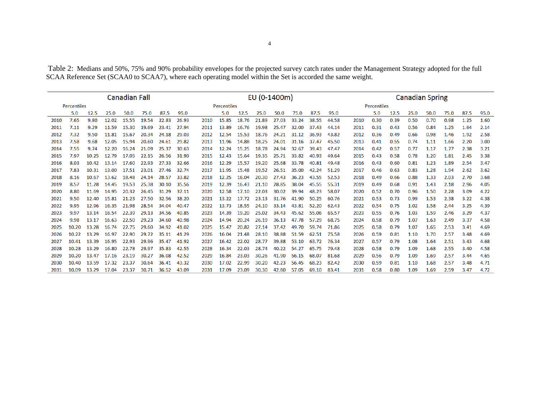Table 2: Medians and 50%, 75% and 90% probability envelopes for the projected survey catch rates under the Management Strategy adopted for the full SCAA Reference Set (SCAA0 to SCAA7), where each operating model within the Set is accorded the same weight.

| <b>Canadian Fall</b> |       |       |       |       |       |       |       |      | EU (0-1400m) |       |       |       |       |       |       |      |             | <b>Canadian Spring</b> |      |      |      |      |      |  |  |  |
|----------------------|-------|-------|-------|-------|-------|-------|-------|------|--------------|-------|-------|-------|-------|-------|-------|------|-------------|------------------------|------|------|------|------|------|--|--|--|
| Percentiles          |       |       |       |       |       |       |       |      | Percentiles  |       |       |       |       |       |       |      | Percentiles |                        |      |      |      |      |      |  |  |  |
|                      | 5.0   | 12.5  | 25.0  | 50.0  | 75.0  | 87.5  | 95.0  |      | 5.0          | 12.5  | 25.0  | 50.0  | 75.0  | 87.5  | 95.0  |      | 5.0         | 12.5                   | 25.0 | 50.0 | 75.0 | 87.5 | 95.0 |  |  |  |
| 2010                 | 7.65  | 9.80  | 12.02 | 15.55 | 19.54 | 22.83 | 26.93 | 2010 | 15.85        | 18.76 | 21.89 | 27.03 | 33.24 | 38.55 | 44.58 | 2010 | 0.30        | 0.39                   | 0.50 | 0.70 | 0.98 | 1.25 | 1.60 |  |  |  |
| 2011                 | 7.11  | 9.29  | 11.59 | 15.30 | 19.69 | 23.41 | 27.94 | 2011 | 13.89        | 16.76 | 19.98 | 25.47 | 32.00 | 37.43 | 44.14 | 2011 | 0.31        | 0.43                   | 0.56 | 0.84 | 1.25 | 1.64 | 2.14 |  |  |  |
| 2012                 | 7.32  | 9.50  | 11.81 | 15.67 | 20.34 | 24.18 | 29.03 | 2012 | 12.54        | 15.53 | 18.76 | 24.21 | 31.12 | 36.93 | 43.82 | 2012 | 0.36        | 0.49                   | 0.66 | 0.98 | 1.46 | 1.92 | 2.58 |  |  |  |
| 2013                 | 7.58  | 9.68  | 12.05 | 15.94 | 20.60 | 24.61 | 29.82 | 2013 | 11.96        | 14.88 | 18.25 | 24.01 | 31.16 | 37.47 | 45.50 | 2013 | 0.41        | 0.55                   | 0.74 | 1.11 | 1.66 | 2.20 | 3.00 |  |  |  |
| 2014                 | 7.55  | 9.74  | 12.20 | 16.24 | 21.09 | 25.37 | 30.63 | 2014 | 12.24        | 15.25 | 18.78 | 24.94 | 32.67 | 39.43 | 47.47 | 2014 | 0.42        | 0.57                   | 0.77 | 1.17 | 1.77 | 2.38 | 3.21 |  |  |  |
| 2015                 | 7.97  | 10.25 | 12.79 | 17.05 | 22.15 | 26.56 | 31.90 | 2015 | 12.43        | 15.64 | 19.35 | 25.71 | 33.82 | 40.93 | 49.64 | 2015 | 0.43        | 0.58                   | 0.78 | 1.20 | 1.81 | 2.45 | 3.38 |  |  |  |
| 2016                 | 8.03  | 10.42 | 13.14 | 17.60 | 22.93 | 27.33 | 32.66 | 2016 | 12.29        | 15.57 | 19.20 | 25.68 | 33.78 | 40.81 | 49.48 | 2016 | 0.43        | 0.60                   | 0.81 | 1.23 | 1.89 | 2.54 | 3.47 |  |  |  |
| 2017                 | 7.83  | 10.31 | 13.00 | 17.51 | 23.01 | 27.46 | 32.74 | 2017 | 11.95        | 15.48 | 19.52 | 26.51 | 35.00 | 42.24 | 51.29 | 2017 | 0.46        | 0.63                   | 0.83 | 1.28 | 1.94 | 2.62 | 3.62 |  |  |  |
| 2018                 | 8.16  | 10.67 | 13.62 | 18.48 | 24.14 | 28.57 | 33.82 | 2018 | 12.25        | 16.04 | 20.30 | 27.43 | 36.23 | 43.55 | 52.53 | 2018 | 0.49        | 0.66                   | 0.88 | 1.33 | 2.03 | 2.70 | 3.68 |  |  |  |
| 2019                 | 8.57  | 11.28 | 14.45 | 19.53 | 25.38 | 30.10 | 35.56 | 2019 | 12.39        | 16.43 | 21.10 | 28.85 | 38.04 | 45.55 | 55.31 | 2019 | 0.49        | 0.68                   | 0.91 | 1.43 | 2.18 | 2.96 | 4.05 |  |  |  |
| 2020                 | 8.80  | 11.69 | 14.95 | 20.32 | 26.45 | 31.29 | 37.11 | 2020 | 12.58        | 17.10 | 22.03 | 30.02 | 39.94 | 48.23 | 58.07 | 2020 | 0.52        | 0.70                   | 0.96 | 1.50 | 2.28 | 3.09 | 4.22 |  |  |  |
| 2021                 | 9.50  | 12.40 | 15.81 | 21.23 | 27.50 | 32.56 | 38.20 | 2021 | 13.22        | 17.72 | 23.13 | 31.76 | 41.90 | 50.25 | 60.76 | 2021 | 0.53        | 0.73                   | 0.99 | 1.53 | 2.38 | 3.22 | 4.38 |  |  |  |
| 2022                 | 9.95  | 12.96 | 16.35 | 21.98 | 28.54 | 34.04 | 40.47 | 2022 | 13.73        | 18.55 | 24.10 | 33.14 | 43.81 | 52.20 | 62.43 | 2022 | 0.54        | 0.75                   | 1.02 | 1.58 | 2.44 | 3.25 | 4.39 |  |  |  |
| 2023                 | 9.97  | 13.14 | 16.54 | 22.39 | 29.13 | 34.56 | 40.85 | 2023 | 14.39        | 19.20 | 25.02 | 34.43 | 45.62 | 55.06 | 65.57 | 2023 | 0.55        | 0.76                   | 1.03 | 1.59 | 2.46 | 3.29 | 4.37 |  |  |  |
| 2024                 | 9.98  | 13.17 | 16.63 | 22.50 | 29.23 | 34.60 | 40.98 | 2024 | 14.94        | 20.24 | 26.19 | 36.13 | 47.78 | 57.29 | 68.75 | 2024 | 0.58        | 0.79                   | 1.07 | 1.63 | 2.49 | 3.37 | 4.58 |  |  |  |
| 2025                 | 10.20 | 13.28 | 16.74 | 22.75 | 29.60 | 34.92 | 41.02 | 2025 | 15.47        | 20.82 | 27.14 | 37.42 | 49.70 | 59.74 | 71.86 | 2025 | 0.58        | 0.79                   | 1.07 | 1.65 | 2.53 | 3.41 | 4.69 |  |  |  |
| 2026                 | 10.22 | 13.29 | 16.97 | 22.90 | 29.72 | 35.11 | 41.29 | 2026 | 16.04        | 21.48 | 28.10 | 38.88 | 51.59 | 62.51 | 75.58 | 2026 | 0.59        | 0.81                   | 1.10 | 1.70 | 2.57 | 3.48 | 4.69 |  |  |  |
| 2027                 | 10.41 | 13.39 | 16.95 | 22.93 | 29.96 | 35.47 | 41.92 | 2027 | 16.42        | 22.02 | 28.77 | 39.88 | 53.10 | 63.72 | 76.34 | 2027 | 0.57        | 0.79                   | 1.08 | 1.64 | 2.51 | 3.43 | 4.68 |  |  |  |
| 2028                 | 10.28 | 13.29 | 16.80 | 22.78 | 29.97 | 35.83 | 42.55 | 2028 | 16.34        | 22.03 | 28.74 | 40.22 | 54.27 | 65.75 | 79.48 | 2028 | 0.58        | 0.79                   | 1.09 | 1.68 | 2.55 | 3.40 | 4.58 |  |  |  |
| 2029                 | 10.20 | 13.47 | 17.16 | 23.19 | 30.27 | 36.08 | 42.52 | 2029 | 16.84        | 23.03 | 30.26 | 41.90 | 56.15 | 68.07 | 81.68 | 2029 | 0.56        | 0.79                   | 1.09 | 1.69 | 2.57 | 3.44 | 4.65 |  |  |  |
| 2030                 | 10.40 | 13.59 | 17.32 | 23.37 | 30.64 | 36.41 | 43.32 | 2030 | 17.02        | 22.99 | 30.20 | 42.23 | 56.45 | 68.23 | 82.42 | 2030 | 0.59        | 0.81                   | 1.10 | 1.68 | 2.57 | 3.48 | 4.71 |  |  |  |
| 2031                 | 10.09 | 13.29 | 17.04 | 23.37 | 30.71 | 36.52 | 43.09 | 2031 | 17.09        | 23.09 | 30.30 | 42.80 | 57.05 | 69.10 | 83.41 | 2031 | 0.58        | 0.80                   | 1.09 | 1.69 | 2.59 | 3.47 | 4.72 |  |  |  |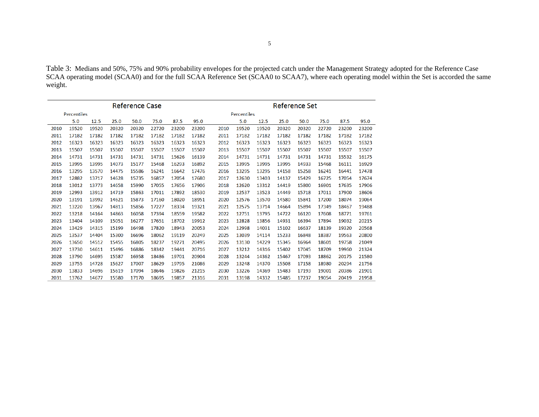Table 3: Medians and 50%, 75% and 90% probability envelopes for the projected catch under the Management Strategy adopted for the Reference Case SCAA operating model (SCAA0) and for the full SCAA Reference Set (SCAA0 to SCAA7), where each operating model within the Set is accorded the same weight.

|      |             |       |       | <b>Reference Case</b> |       |       | Reference Set |                    |       |       |       |       |       |       |       |  |  |  |
|------|-------------|-------|-------|-----------------------|-------|-------|---------------|--------------------|-------|-------|-------|-------|-------|-------|-------|--|--|--|
|      | Percentiles |       |       |                       |       |       |               | <b>Percentiles</b> |       |       |       |       |       |       |       |  |  |  |
|      | 5.0         | 12.5  | 25.0  | 50.0                  | 75.0  | 87.5  | 95.0          |                    | 5.0   | 12.5  | 25.0  | 50.0  | 75.0  | 87.5  | 95.0  |  |  |  |
| 2010 | 19520       | 19520 | 20320 | 20320                 | 22720 | 23200 | 23200         | 2010               | 19520 | 19520 | 20320 | 20320 | 22720 | 23200 | 23200 |  |  |  |
| 2011 | 17182       | 17182 | 17182 | 17182                 | 17182 | 17182 | 17182         | 2011               | 17182 | 17182 | 17182 | 17182 | 17182 | 17182 | 17182 |  |  |  |
| 2012 | 16323       | 16323 | 16323 | 16323                 | 16323 | 16323 | 16323         | 2012               | 16323 | 16323 | 16323 | 16323 | 16323 | 16323 | 16323 |  |  |  |
| 2013 | 15507       | 15507 | 15507 | 15507                 | 15507 | 15507 | 15507         | 2013               | 15507 | 15507 | 15507 | 15507 | 15507 | 15507 | 15507 |  |  |  |
| 2014 | 14731       | 14731 | 14731 | 14731                 | 14731 | 15626 | 16139         | 2014               | 14731 | 14731 | 14731 | 14731 | 14731 | 15532 | 16175 |  |  |  |
| 2015 | 13995       | 13995 | 14073 | 15177                 | 15468 | 16293 | 16892         | 2015               | 13995 | 13995 | 13995 | 14933 | 15468 | 16111 | 16929 |  |  |  |
| 2016 | 13295       | 13570 | 14475 | 15586                 | 16241 | 16642 | 17476         | 2016               | 13295 | 13295 | 14158 | 15258 | 16241 | 16441 | 17478 |  |  |  |
| 2017 | 12882       | 13717 | 14628 | 15735                 | 16857 | 17054 | 17680         | 2017               | 12630 | 13403 | 14137 | 15429 | 16725 | 17054 | 17674 |  |  |  |
| 2018 | 13012       | 13773 | 14658 | 15990                 | 17055 | 17656 | 17906         | 2018               | 12620 | 13312 | 14419 | 15800 | 16901 | 17635 | 17906 |  |  |  |
| 2019 | 12993       | 13912 | 14719 | 15863                 | 17011 | 17892 | 18530         | 2019               | 12537 | 13523 | 14449 | 15718 | 17011 | 17900 | 18606 |  |  |  |
| 2020 | 13191       | 13992 | 14621 | 15873                 | 17160 | 18020 | 18951         | 2020               | 12576 | 13570 | 14580 | 15841 | 17200 | 18074 | 19064 |  |  |  |
| 2021 | 13220       | 13967 | 14813 | 15856                 | 17227 | 18334 | 19321         | 2021               | 12575 | 13714 | 14664 | 15894 | 17349 | 18467 | 19488 |  |  |  |
| 2022 | 13218       | 14164 | 14863 | 16058                 | 17394 | 18559 | 19582         | 2022               | 12751 | 13795 | 14722 | 16120 | 17608 | 18771 | 19761 |  |  |  |
| 2023 | 13404       | 14109 | 15051 | 16277                 | 17651 | 18702 | 19912         | 2023               | 12828 | 13856 | 14931 | 16394 | 17894 | 19032 | 20215 |  |  |  |
| 2024 | 13429       | 14315 | 15199 | 16498                 | 17820 | 18943 | 20053         | 2024               | 12998 | 14031 | 15102 | 16637 | 18139 | 19320 | 20568 |  |  |  |
| 2025 | 13537       | 14404 | 15300 | 16696                 | 18062 | 19119 | 20249         | 2025               | 13039 | 14114 | 15233 | 16848 | 18387 | 19563 | 20800 |  |  |  |
| 2026 | 13650       | 14512 | 15455 | 16805                 | 18237 | 19271 | 20495         | 2026               | 13130 | 14229 | 15345 | 16964 | 18601 | 19758 | 21049 |  |  |  |
| 2027 | 13730       | 14611 | 15496 | 16886                 | 18342 | 19441 | 20716         | 2027               | 13212 | 14316 | 15402 | 17045 | 18709 | 19960 | 21324 |  |  |  |
| 2028 | 13790       | 14695 | 15587 | 16958                 | 18486 | 19701 | 20904         | 2028               | 13244 | 14362 | 15467 | 17093 | 18862 | 20175 | 21580 |  |  |  |
| 2029 | 13755       | 14728 | 15627 | 17007                 | 18629 | 19795 | 21086         | 2029               | 13248 | 14370 | 15508 | 17158 | 18980 | 20294 | 21756 |  |  |  |
| 2030 | 13833       | 14696 | 15619 | 17094                 | 18646 | 19826 | 21215         | 2030               | 13226 | 14369 | 15483 | 17193 | 19001 | 20386 | 21901 |  |  |  |
| 2031 | 13762       | 14677 | 15580 | 17170                 | 18695 | 19857 | 21316         | 2031               | 13198 | 14332 | 15485 | 17237 | 19054 | 20419 | 21958 |  |  |  |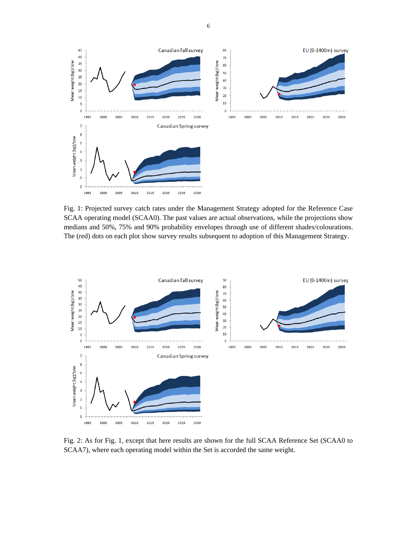

Fig. 1: Projected survey catch rates under the Management Strategy adopted for the Reference Case SCAA operating model (SCAA0). The past values are actual observations, while the projections show medians and 50%, 75% and 90% probability envelopes through use of different shades/colourations. The (red) dots on each plot show survey results subsequent to adoption of this Management Strategy.



Fig. 2: As for Fig. 1, except that here results are shown for the full SCAA Reference Set (SCAA0 to SCAA7), where each operating model within the Set is accorded the same weight.